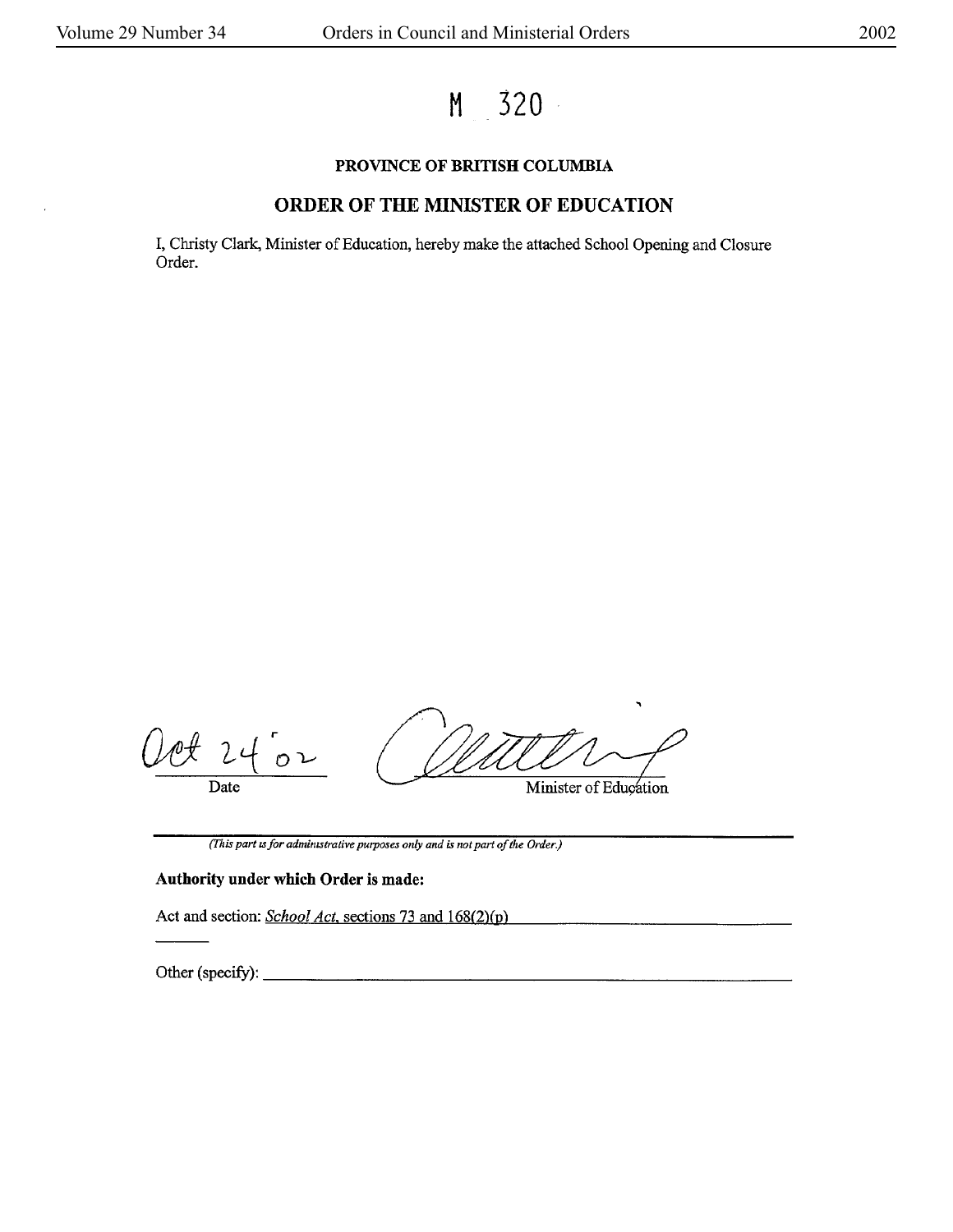**M 320** 

## **PROVINCE OF BRITISH COLUMBIA**

## **ORDER OF THE MINISTER OF EDUCATION**

I, Christy Clark, Minister of Education, hereby make the attached School Opening and Closure Order.

 $O2$ Date Minister of Education

(This *part ,s for admin,strative purposes only and* is *not part of the Order.)* 

### **Authority under which Order is made:**

Act and section: *School Act*, sections 73 and 168(2)(p)

Other (specify):  $\qquad \qquad$